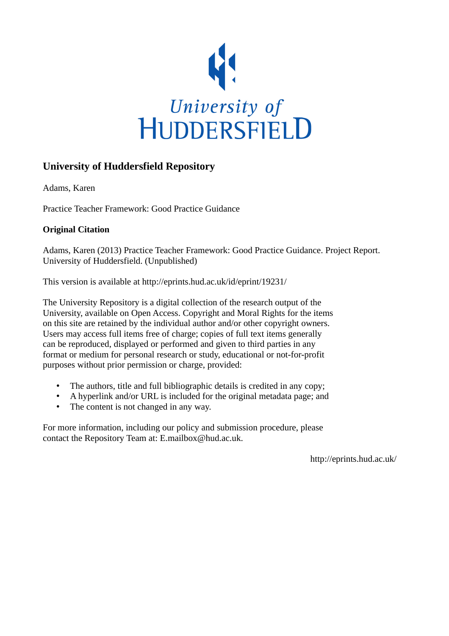

# **University of Huddersfield Repository**

Adams, Karen

Practice Teacher Framework: Good Practice Guidance

# **Original Citation**

Adams, Karen (2013) Practice Teacher Framework: Good Practice Guidance. Project Report. University of Huddersfield. (Unpublished)

This version is available at http://eprints.hud.ac.uk/id/eprint/19231/

The University Repository is a digital collection of the research output of the University, available on Open Access. Copyright and Moral Rights for the items on this site are retained by the individual author and/or other copyright owners. Users may access full items free of charge; copies of full text items generally can be reproduced, displayed or performed and given to third parties in any format or medium for personal research or study, educational or not-for-profit purposes without prior permission or charge, provided:

- The authors, title and full bibliographic details is credited in any copy;
- A hyperlink and/or URL is included for the original metadata page; and
- The content is not changed in any way.

For more information, including our policy and submission procedure, please contact the Repository Team at: E.mailbox@hud.ac.uk.

http://eprints.hud.ac.uk/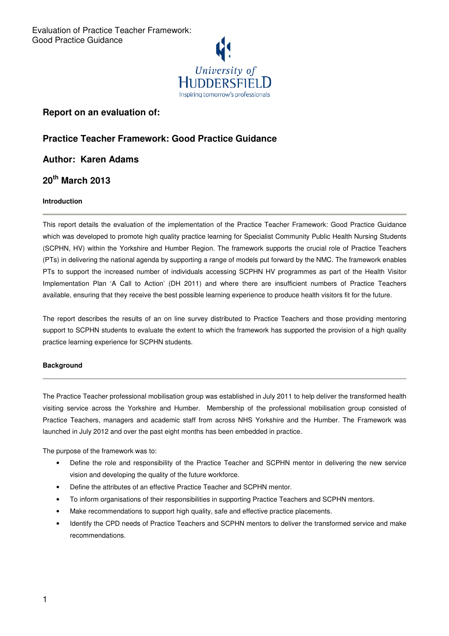

# **Report on an evaluation of:**

# **Practice Teacher Framework: Good Practice Guidance**

**Author: Karen Adams** 

# **20th March 2013**

# **Introduction**

This report details the evaluation of the implementation of the Practice Teacher Framework: Good Practice Guidance which was developed to promote high quality practice learning for Specialist Community Public Health Nursing Students (SCPHN, HV) within the Yorkshire and Humber Region. The framework supports the crucial role of Practice Teachers (PTs) in delivering the national agenda by supporting a range of models put forward by the NMC. The framework enables PTs to support the increased number of individuals accessing SCPHN HV programmes as part of the Health Visitor Implementation Plan 'A Call to Action' (DH 2011) and where there are insufficient numbers of Practice Teachers available, ensuring that they receive the best possible learning experience to produce health visitors fit for the future.

The report describes the results of an on line survey distributed to Practice Teachers and those providing mentoring support to SCPHN students to evaluate the extent to which the framework has supported the provision of a high quality practice learning experience for SCPHN students.

# **Background**

The Practice Teacher professional mobilisation group was established in July 2011 to help deliver the transformed health visiting service across the Yorkshire and Humber. Membership of the professional mobilisation group consisted of Practice Teachers, managers and academic staff from across NHS Yorkshire and the Humber. The Framework was launched in July 2012 and over the past eight months has been embedded in practice.

The purpose of the framework was to:

- Define the role and responsibility of the Practice Teacher and SCPHN mentor in delivering the new service vision and developing the quality of the future workforce.
- Define the attributes of an effective Practice Teacher and SCPHN mentor.
- To inform organisations of their responsibilities in supporting Practice Teachers and SCPHN mentors.
- Make recommendations to support high quality, safe and effective practice placements.
- Identify the CPD needs of Practice Teachers and SCPHN mentors to deliver the transformed service and make recommendations.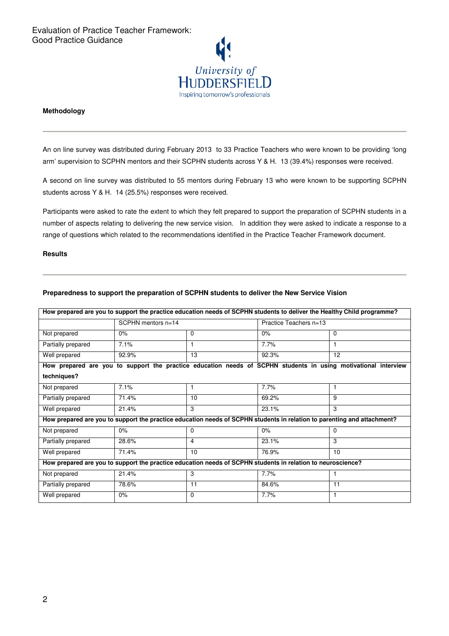

## **Methodology**

An on line survey was distributed during February 2013 to 33 Practice Teachers who were known to be providing 'long arm' supervision to SCPHN mentors and their SCPHN students across Y & H. 13 (39.4%) responses were received.

A second on line survey was distributed to 55 mentors during February 13 who were known to be supporting SCPHN students across Y & H. 14 (25.5%) responses were received.

Participants were asked to rate the extent to which they felt prepared to support the preparation of SCPHN students in a number of aspects relating to delivering the new service vision. In addition they were asked to indicate a response to a range of questions which related to the recommendations identified in the Practice Teacher Framework document.

## **Results**

| How prepared are you to support the practice education needs of SCPHN students to deliver the Healthy Child programme?  |                      |          |                        |                                                                                                                |  |  |  |
|-------------------------------------------------------------------------------------------------------------------------|----------------------|----------|------------------------|----------------------------------------------------------------------------------------------------------------|--|--|--|
|                                                                                                                         | SCPHN mentors $n=14$ |          | Practice Teachers n=13 |                                                                                                                |  |  |  |
| Not prepared                                                                                                            | 0%                   | 0        | 0%                     | $\Omega$                                                                                                       |  |  |  |
| Partially prepared                                                                                                      | 7.1%                 | 1        | 7.7%                   | 1                                                                                                              |  |  |  |
| Well prepared                                                                                                           | 92.9%                | 13       | 92.3%                  | 12                                                                                                             |  |  |  |
|                                                                                                                         |                      |          |                        | How prepared are you to support the practice education needs of SCPHN students in using motivational interview |  |  |  |
| techniques?                                                                                                             |                      |          |                        |                                                                                                                |  |  |  |
| Not prepared                                                                                                            | 7.1%                 |          | 7.7%                   |                                                                                                                |  |  |  |
| Partially prepared                                                                                                      | 71.4%                | 10       | 69.2%                  | 9                                                                                                              |  |  |  |
| Well prepared                                                                                                           | 21.4%                | 3        | 23.1%                  | 3                                                                                                              |  |  |  |
| How prepared are you to support the practice education needs of SCPHN students in relation to parenting and attachment? |                      |          |                        |                                                                                                                |  |  |  |
| Not prepared                                                                                                            | $0\%$                | $\Omega$ | 0%                     | $\Omega$                                                                                                       |  |  |  |
| Partially prepared                                                                                                      | 28.6%                | 4        | 23.1%                  | 3                                                                                                              |  |  |  |
| Well prepared                                                                                                           | 71.4%                | 10       | 76.9%                  | 10                                                                                                             |  |  |  |
| How prepared are you to support the practice education needs of SCPHN students in relation to neuroscience?             |                      |          |                        |                                                                                                                |  |  |  |
| Not prepared                                                                                                            | 21.4%                | 3        | 7.7%                   | 1                                                                                                              |  |  |  |
| Partially prepared                                                                                                      | 78.6%                | 11       | 84.6%                  | 11                                                                                                             |  |  |  |
| Well prepared                                                                                                           | 0%                   | 0        | 7.7%                   |                                                                                                                |  |  |  |

#### **Preparedness to support the preparation of SCPHN students to deliver the New Service Vision**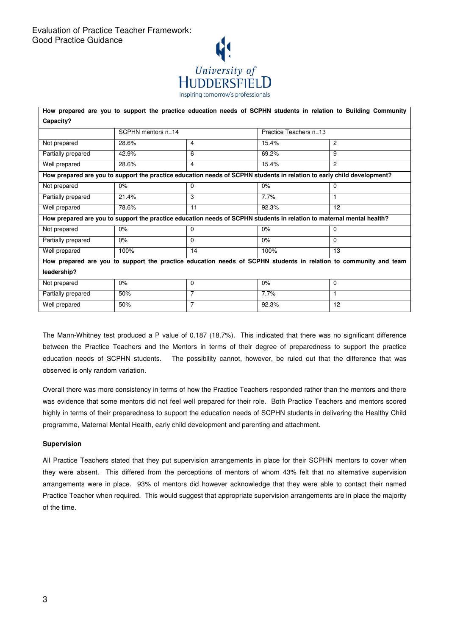

| How prepared are you to support the practice education needs of SCPHN students in relation to Building Community       |                        |                |                        |                |  |  |  |
|------------------------------------------------------------------------------------------------------------------------|------------------------|----------------|------------------------|----------------|--|--|--|
| Capacity?                                                                                                              |                        |                |                        |                |  |  |  |
|                                                                                                                        | $SCPHN$ mentors $n=14$ |                | Practice Teachers n=13 |                |  |  |  |
| Not prepared                                                                                                           | 28.6%                  | 4              | 15.4%                  | $\overline{2}$ |  |  |  |
| Partially prepared                                                                                                     | 42.9%                  | 6              | 69.2%                  | 9              |  |  |  |
| Well prepared                                                                                                          | 28.6%                  | 4              | 15.4%                  | $\overline{c}$ |  |  |  |
| How prepared are you to support the practice education needs of SCPHN students in relation to early child development? |                        |                |                        |                |  |  |  |
| Not prepared                                                                                                           | 0%                     | $\Omega$       | 0%                     | $\Omega$       |  |  |  |
| Partially prepared                                                                                                     | 21.4%                  | 3              | 7.7%                   |                |  |  |  |
| Well prepared                                                                                                          | 78.6%                  | 11             | 92.3%                  | 12             |  |  |  |
| How prepared are you to support the practice education needs of SCPHN students in relation to maternal mental health?  |                        |                |                        |                |  |  |  |
| Not prepared                                                                                                           | 0%                     | $\Omega$       | 0%                     | $\Omega$       |  |  |  |
| Partially prepared                                                                                                     | 0%                     | $\Omega$       | $0\%$                  | $\Omega$       |  |  |  |
| Well prepared                                                                                                          | 100%                   | 14             | 100%                   | 13             |  |  |  |
| How prepared are you to support the practice education needs of SCPHN students in relation to community and team       |                        |                |                        |                |  |  |  |
| leadership?                                                                                                            |                        |                |                        |                |  |  |  |
| Not prepared                                                                                                           | 0%                     | $\mathbf 0$    | 0%                     | $\mathbf 0$    |  |  |  |
| Partially prepared                                                                                                     | 50%                    | 7              | 7.7%                   | 1              |  |  |  |
| Well prepared                                                                                                          | 50%                    | $\overline{7}$ | 92.3%                  | 12             |  |  |  |

The Mann-Whitney test produced a P value of 0.187 (18.7%). This indicated that there was no significant difference between the Practice Teachers and the Mentors in terms of their degree of preparedness to support the practice education needs of SCPHN students. The possibility cannot, however, be ruled out that the difference that was observed is only random variation.

Overall there was more consistency in terms of how the Practice Teachers responded rather than the mentors and there was evidence that some mentors did not feel well prepared for their role. Both Practice Teachers and mentors scored highly in terms of their preparedness to support the education needs of SCPHN students in delivering the Healthy Child programme, Maternal Mental Health, early child development and parenting and attachment.

# **Supervision**

All Practice Teachers stated that they put supervision arrangements in place for their SCPHN mentors to cover when they were absent. This differed from the perceptions of mentors of whom 43% felt that no alternative supervision arrangements were in place. 93% of mentors did however acknowledge that they were able to contact their named Practice Teacher when required. This would suggest that appropriate supervision arrangements are in place the majority of the time.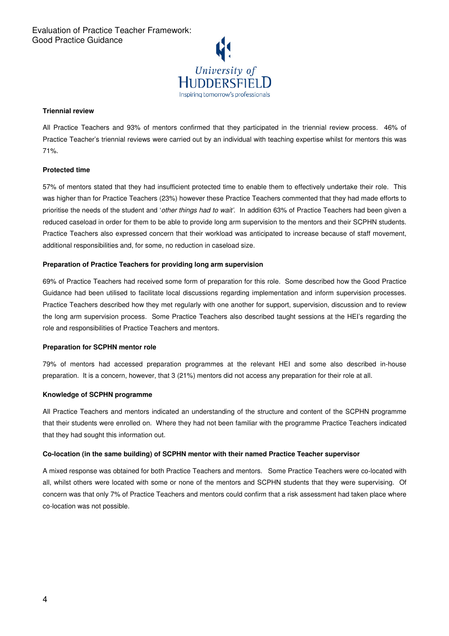

## **Triennial review**

All Practice Teachers and 93% of mentors confirmed that they participated in the triennial review process. 46% of Practice Teacher's triennial reviews were carried out by an individual with teaching expertise whilst for mentors this was 71%.

# **Protected time**

57% of mentors stated that they had insufficient protected time to enable them to effectively undertake their role. This was higher than for Practice Teachers (23%) however these Practice Teachers commented that they had made efforts to prioritise the needs of the student and 'other things had to wait'. In addition 63% of Practice Teachers had been given a reduced caseload in order for them to be able to provide long arm supervision to the mentors and their SCPHN students. Practice Teachers also expressed concern that their workload was anticipated to increase because of staff movement, additional responsibilities and, for some, no reduction in caseload size.

## **Preparation of Practice Teachers for providing long arm supervision**

69% of Practice Teachers had received some form of preparation for this role. Some described how the Good Practice Guidance had been utilised to facilitate local discussions regarding implementation and inform supervision processes. Practice Teachers described how they met regularly with one another for support, supervision, discussion and to review the long arm supervision process. Some Practice Teachers also described taught sessions at the HEI's regarding the role and responsibilities of Practice Teachers and mentors.

## **Preparation for SCPHN mentor role**

79% of mentors had accessed preparation programmes at the relevant HEI and some also described in-house preparation. It is a concern, however, that 3 (21%) mentors did not access any preparation for their role at all.

## **Knowledge of SCPHN programme**

All Practice Teachers and mentors indicated an understanding of the structure and content of the SCPHN programme that their students were enrolled on. Where they had not been familiar with the programme Practice Teachers indicated that they had sought this information out.

## **Co-location (in the same building) of SCPHN mentor with their named Practice Teacher supervisor**

A mixed response was obtained for both Practice Teachers and mentors. Some Practice Teachers were co-located with all, whilst others were located with some or none of the mentors and SCPHN students that they were supervising. Of concern was that only 7% of Practice Teachers and mentors could confirm that a risk assessment had taken place where co-location was not possible.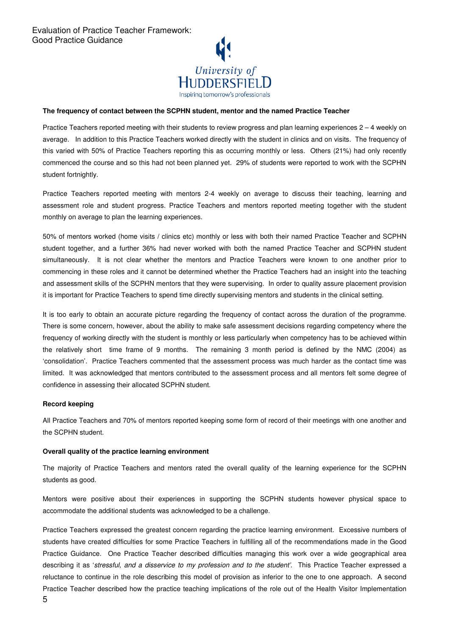

#### **The frequency of contact between the SCPHN student, mentor and the named Practice Teacher**

Practice Teachers reported meeting with their students to review progress and plan learning experiences  $2 - 4$  weekly on average. In addition to this Practice Teachers worked directly with the student in clinics and on visits. The frequency of this varied with 50% of Practice Teachers reporting this as occurring monthly or less. Others (21%) had only recently commenced the course and so this had not been planned yet. 29% of students were reported to work with the SCPHN student fortnightly.

Practice Teachers reported meeting with mentors 2-4 weekly on average to discuss their teaching, learning and assessment role and student progress. Practice Teachers and mentors reported meeting together with the student monthly on average to plan the learning experiences.

50% of mentors worked (home visits / clinics etc) monthly or less with both their named Practice Teacher and SCPHN student together, and a further 36% had never worked with both the named Practice Teacher and SCPHN student simultaneously. It is not clear whether the mentors and Practice Teachers were known to one another prior to commencing in these roles and it cannot be determined whether the Practice Teachers had an insight into the teaching and assessment skills of the SCPHN mentors that they were supervising. In order to quality assure placement provision it is important for Practice Teachers to spend time directly supervising mentors and students in the clinical setting.

It is too early to obtain an accurate picture regarding the frequency of contact across the duration of the programme. There is some concern, however, about the ability to make safe assessment decisions regarding competency where the frequency of working directly with the student is monthly or less particularly when competency has to be achieved within the relatively short time frame of 9 months. The remaining 3 month period is defined by the NMC (2004) as 'consolidation'. Practice Teachers commented that the assessment process was much harder as the contact time was limited. It was acknowledged that mentors contributed to the assessment process and all mentors felt some degree of confidence in assessing their allocated SCPHN student.

#### **Record keeping**

All Practice Teachers and 70% of mentors reported keeping some form of record of their meetings with one another and the SCPHN student.

#### **Overall quality of the practice learning environment**

The majority of Practice Teachers and mentors rated the overall quality of the learning experience for the SCPHN students as good.

Mentors were positive about their experiences in supporting the SCPHN students however physical space to accommodate the additional students was acknowledged to be a challenge.

Practice Teachers expressed the greatest concern regarding the practice learning environment. Excessive numbers of students have created difficulties for some Practice Teachers in fulfilling all of the recommendations made in the Good Practice Guidance. One Practice Teacher described difficulties managing this work over a wide geographical area describing it as 'stressful, and a disservice to my profession and to the student'. This Practice Teacher expressed a reluctance to continue in the role describing this model of provision as inferior to the one to one approach. A second Practice Teacher described how the practice teaching implications of the role out of the Health Visitor Implementation